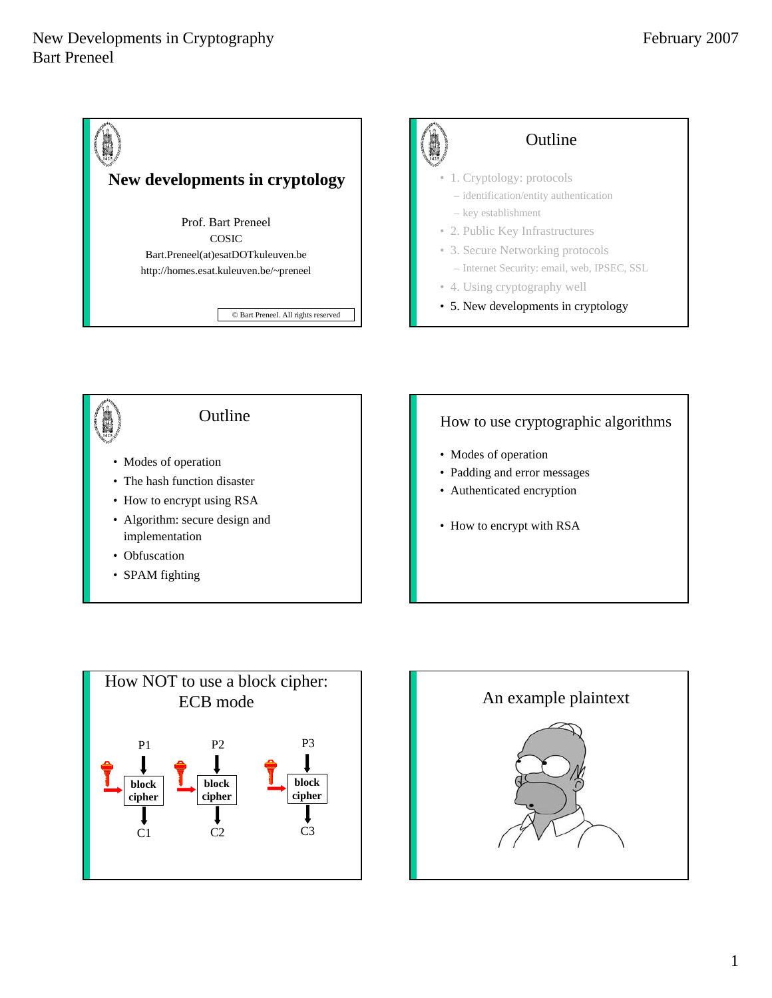





## How to use cryptographic algorithms

- Modes of operation
- Padding and error messages
- Authenticated encryption
- How to encrypt with RSA



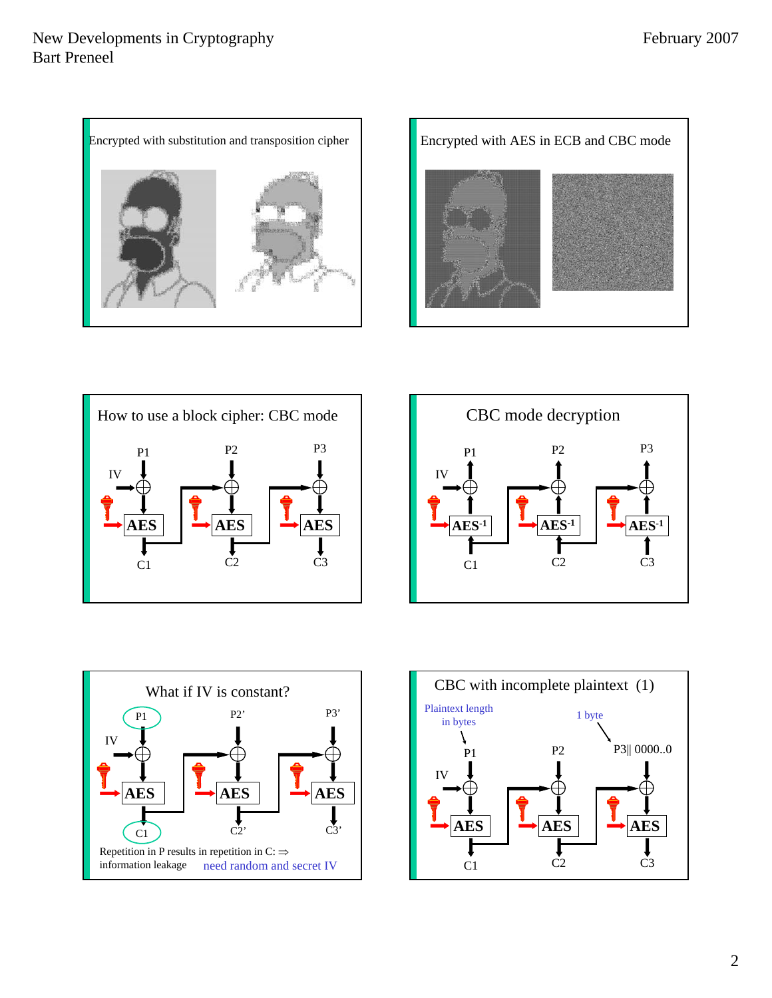









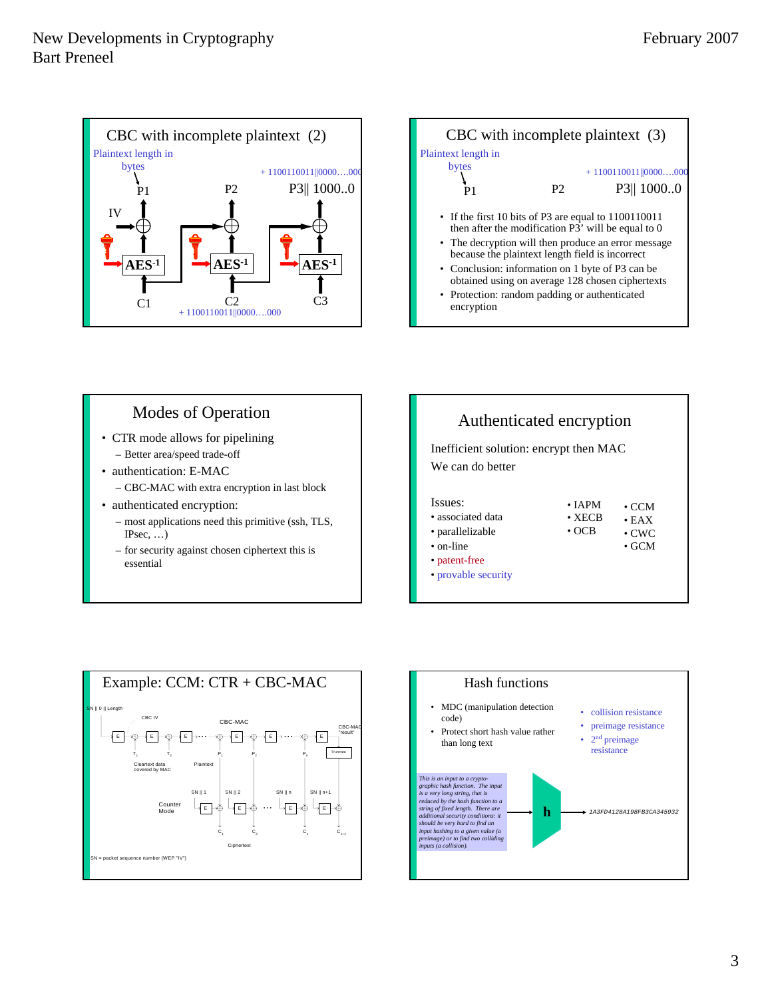



## Modes of Operation

- CTR mode allows for pipelining – Better area/speed trade-off
- authentication: E-MAC
	- CBC-MAC with extra encryption in last block
- authenticated encryption:
	- most applications need this primitive (ssh, TLS, IPsec, …)
	- for security against chosen ciphertext this is essential





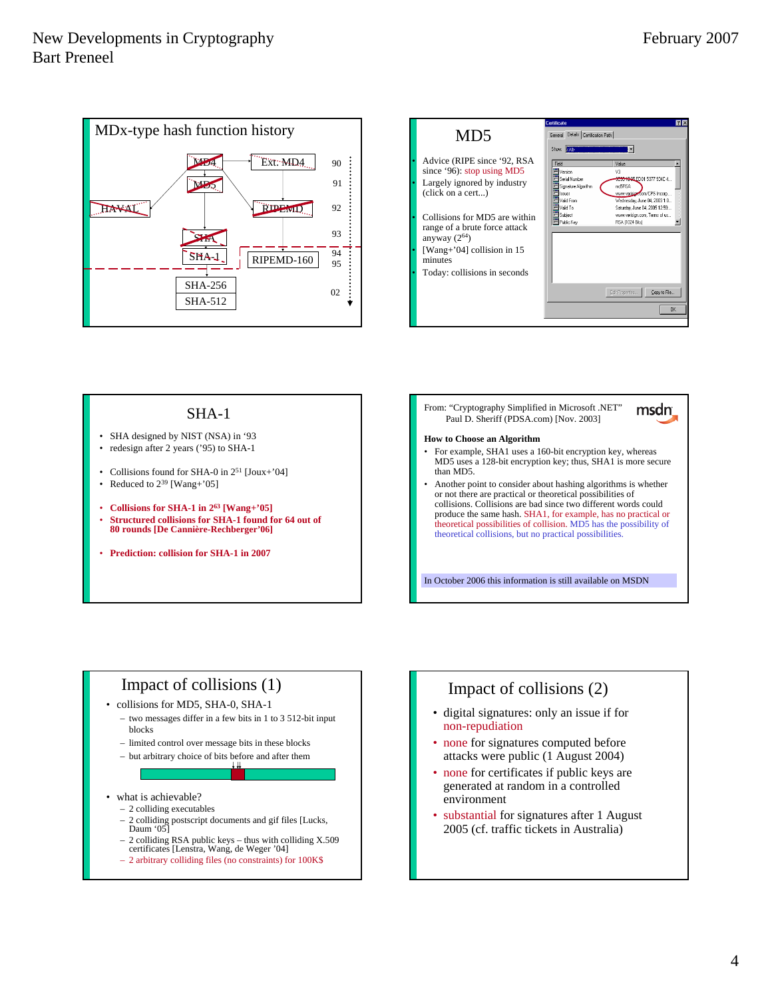



#### SHA-1

- SHA designed by NIST (NSA) in '93 • redesign after 2 years ('95) to SHA-1
- 
- Collisions found for SHA-0 in 2<sup>51</sup> [Joux+'04]
- Reduced to  $2^{39}$  [Wang+'05]
- **Collisions for SHA-1 in 263 [Wang+'05]**
- **Structured collisions for SHA-1 found for 64 out of 80 rounds [De Cannière-Rechberger'06]**
- **Prediction: collision for SHA-1 in 2007**

From: "Cryptography Simplified in Microsoft .NET" msdn\_ Paul D. Sheriff (PDSA.com) [Nov. 2003]

#### **How to Choose an Algorithm**

- For example, SHA1 uses a 160-bit encryption key, whereas MD5 uses a 128-bit encryption key; thus, SHA1 is more secure than MD5.
- Another point to consider about hashing algorithms is whether or not there are practical or theoretical possibilities of collisions. Collisions are bad since two different words could produce the same hash. SHA1, for example, has no practical or theoretical possibilities of collision. MD5 has the possibility of theoretical collisions, but no practical possibilities.

In October 2006 this information is still available on MSDN

## Impact of collisions (1)

- collisions for MD5, SHA-0, SHA-1
	- two messages differ in a few bits in 1 to 3 512-bit input blocks
	- limited control over message bits in these blocks
	- but arbitrary choice of bits before and after them

#### what is achievable?

- 2 colliding executables
- 2 colliding postscript documents and gif files [Lucks, Daum '05]
- 2 colliding RSA public keys thus with colliding X.509 certificates [Lenstra, Wang, de Weger '04]
- 2 arbitrary colliding files (no constraints) for 100K\$

# Impact of collisions (2)

- digital signatures: only an issue if for non-repudiation
- none for signatures computed before attacks were public (1 August 2004)
- none for certificates if public keys are generated at random in a controlled environment
- substantial for signatures after 1 August 2005 (cf. traffic tickets in Australia)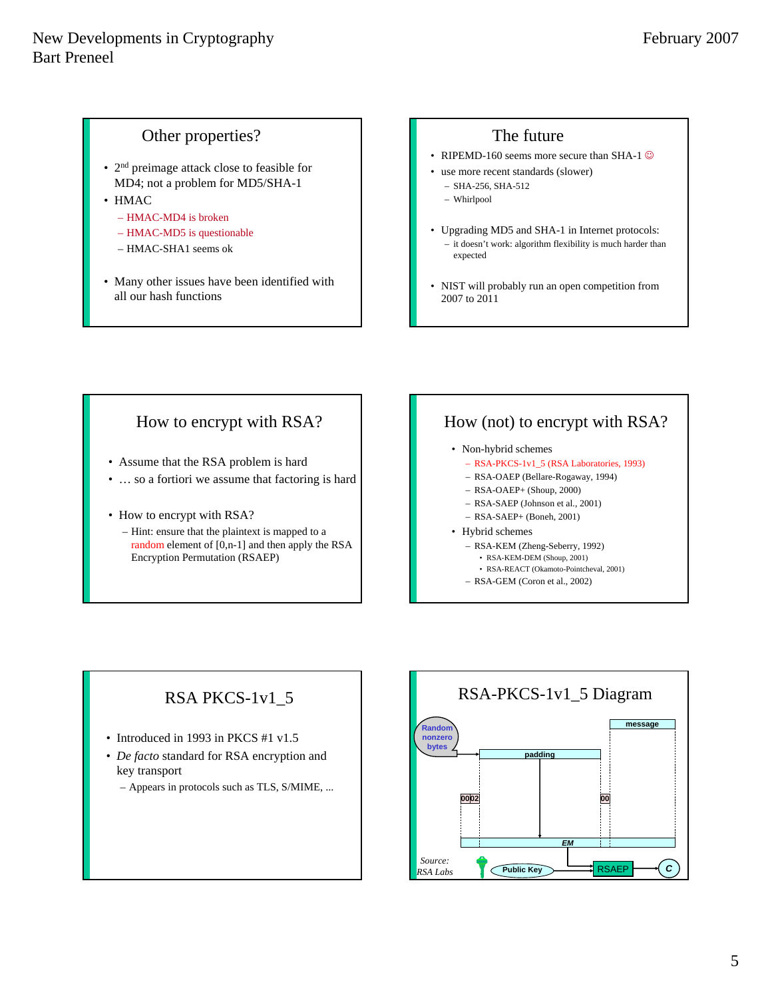### Other properties?

- 2<sup>nd</sup> preimage attack close to feasible for MD4; not a problem for MD5/SHA-1
- HMAC
	- HMAC-MD4 is broken
	- HMAC-MD5 is questionable
	- HMAC-SHA1 seems ok
- Many other issues have been identified with all our hash functions

### The future

- RIPEMD-160 seems more secure than SHA-1  $\odot$
- use more recent standards (slower)
	- SHA-256, SHA-512
	- Whirlpool
- Upgrading MD5 and SHA-1 in Internet protocols: – it doesn't work: algorithm flexibility is much harder than expected
- NIST will probably run an open competition from 2007 to 2011

## How to encrypt with RSA?

- Assume that the RSA problem is hard
- … so a fortiori we assume that factoring is hard
- How to encrypt with RSA?
	- Hint: ensure that the plaintext is mapped to a random element of [0,n-1] and then apply the RSA Encryption Permutation (RSAEP)

## How (not) to encrypt with RSA?

- Non-hybrid schemes
	- RSA-PKCS-1v1\_5 (RSA Laboratories, 1993)
	- RSA-OAEP (Bellare-Rogaway, 1994)
	- RSA-OAEP+ (Shoup, 2000)
	- RSA-SAEP (Johnson et al., 2001)
	- RSA-SAEP+ (Boneh, 2001)
- Hybrid schemes
	- RSA-KEM (Zheng-Seberry, 1992)
		- RSA-KEM-DEM (Shoup, 2001) • RSA-REACT (Okamoto-Pointcheval, 2001)
	- RSA-GEM (Coron et al., 2002)

## RSA PKCS-1v1\_5

- Introduced in 1993 in PKCS #1 v1.5
- *De facto* standard for RSA encryption and key transport
	- Appears in protocols such as TLS, S/MIME, ...

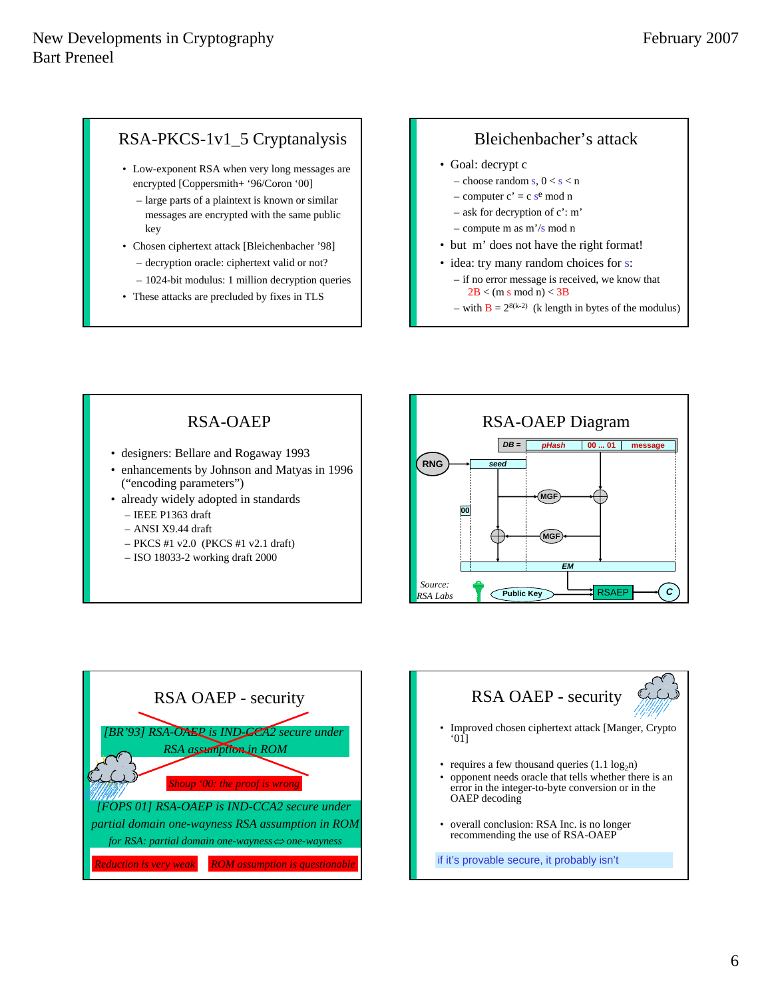## RSA-PKCS-1v1\_5 Cryptanalysis

- Low-exponent RSA when very long messages are encrypted [Coppersmith+ '96/Coron '00]
	- large parts of a plaintext is known or similar messages are encrypted with the same public key
- Chosen ciphertext attack [Bleichenbacher '98] – decryption oracle: ciphertext valid or not?
	- 1024-bit modulus: 1 million decryption queries
- These attacks are precluded by fixes in TLS

#### Bleichenbacher's attack

- Goal: decrypt c
	- choose random s,  $0 < s < n$
	- computer  $c' = c$  s<sup>e</sup> mod n
	- ask for decryption of c': m'
	- compute m as m'/s mod n
- but m' does not have the right format!
- idea: try many random choices for s:
	- if no error message is received, we know that  $2B < (m s \mod n) < 3B$
	- with  $B = 2^{8(k-2)}$  (k length in bytes of the modulus)

## RSA-OAEP

- designers: Bellare and Rogaway 1993
- enhancements by Johnson and Matyas in 1996 ("encoding parameters")
- already widely adopted in standards – IEEE P1363 draft
	- ANSI X9.44 draft
	- PKCS #1 v2.0 (PKCS #1 v2.1 draft)
	- ISO 18033-2 working draft 2000







- Improved chosen ciphertext attack [Manger, Crypto '01]
- requires a few thousand queries  $(1.1 \log_2 n)$
- opponent needs oracle that tells whether there is an error in the integer-to-byte conversion or in the OAEP decoding
- overall conclusion: RSA Inc. is no longer recommending the use of RSA-OAEP

if it's provable secure, it probably isn't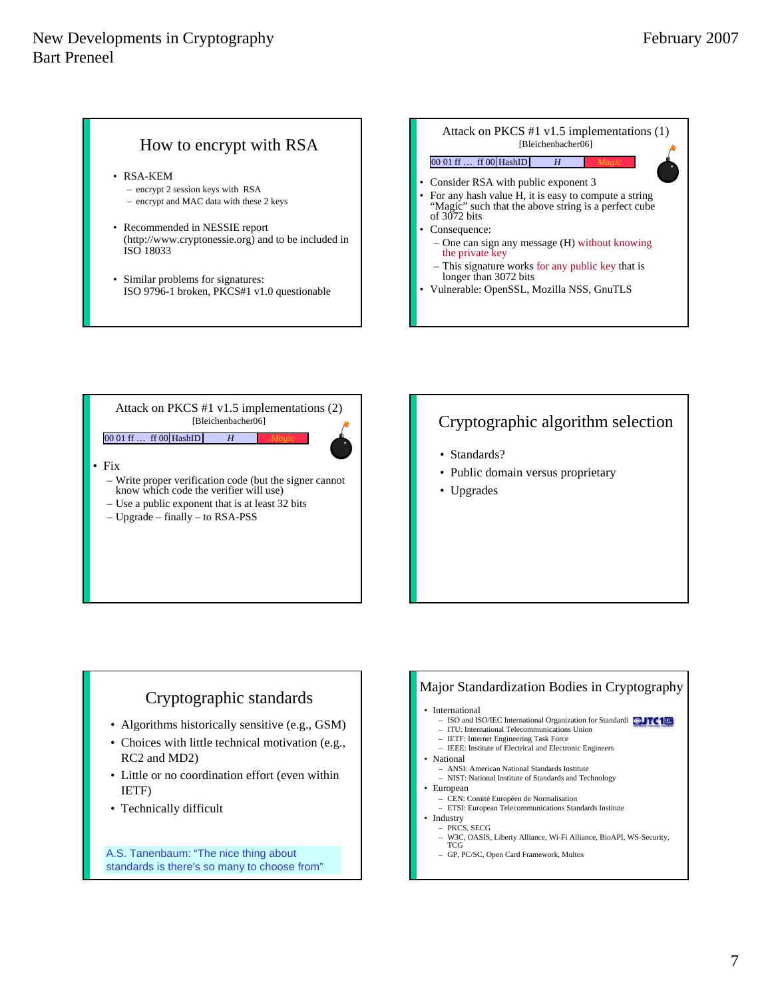#### How to encrypt with RSA

- RSA-KEM
	- encrypt 2 session keys with RSA
	- encrypt and MAC data with these 2 keys
- Recommended in NESSIE report (http://www.cryptonessie.org) and to be included in ISO 18033
- Similar problems for signatures: ISO 9796-1 broken, PKCS#1 v1.0 questionable



Attack on PKCS #1 v1.5 implementations (2) [Bleichenbacher06]

#### 00 01 ff … ff 00 HashID *H Magic*

#### • Fix

- Write proper verification code (but the signer cannot know which code the verifier will use)
- Use a public exponent that is at least 32 bits
- Upgrade finally to RSA-PSS

## Cryptographic algorithm selection

- Standards?
- Public domain versus proprietary
- Upgrades

#### Cryptographic standards

- Algorithms historically sensitive (e.g., GSM)
- Choices with little technical motivation (e.g., RC2 and MD2)
- Little or no coordination effort (even within IETF)
- Technically difficult

A.S. Tanenbaum: "The nice thing about standards is there's so many to choose from"

#### Major Standardization Bodies in Cryptography

#### • International

- ISO and ISO/IEC International Organization for Standardization **100 LTC1**
- ITU: International Telecommunications Union – IETF: Internet Engineering Task Force
- IEEE: Institute of Electrical and Electronic Engineers
- National
	- ANSI: American National Standards Institute
	- NIST: National Institute of Standards and Technology
- European
	- CEN: Comité Européen de Normalisation
	- ETSI: European Telecommunications Standards Institute
- Industry – PKCS, SECG
	- W3C, OASIS, Liberty Alliance, Wi-Fi Alliance, BioAPI, WS-Security, TCG
	- GP, PC/SC, Open Card Framework, Multos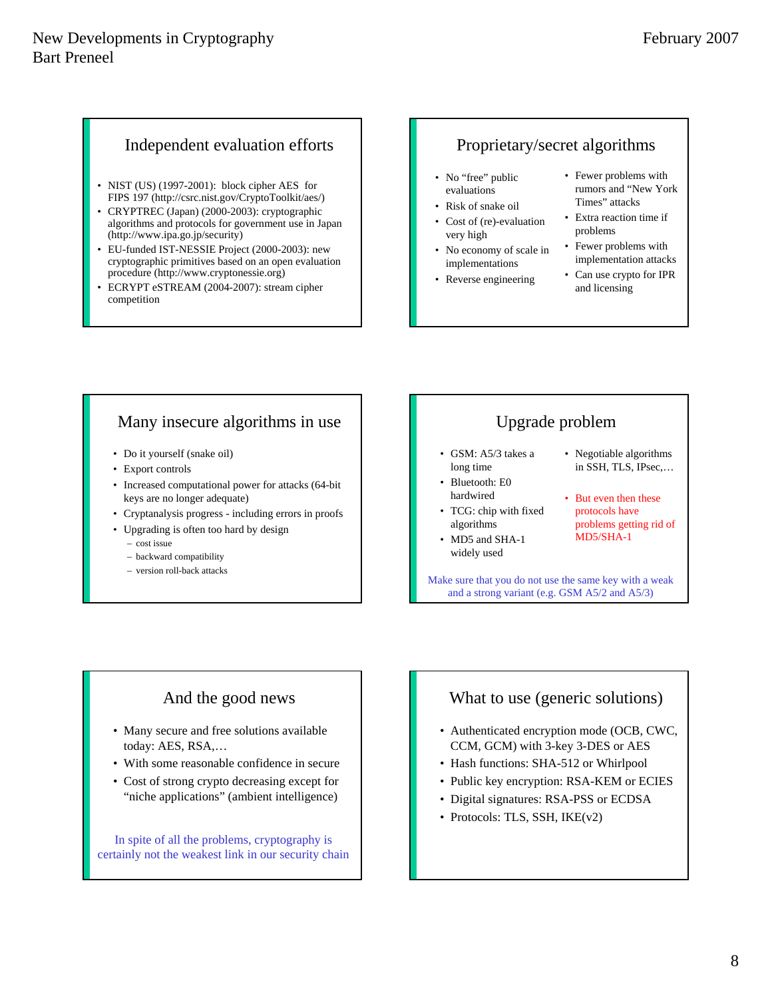#### Independent evaluation efforts

- NIST (US) (1997-2001): block cipher AES for FIPS 197 (http://csrc.nist.gov/CryptoToolkit/aes/)
- CRYPTREC (Japan) (2000-2003): cryptographic algorithms and protocols for government use in Japan (http://www.ipa.go.jp/security)
- EU-funded IST-NESSIE Project (2000-2003): new cryptographic primitives based on an open evaluation procedure (http://www.cryptonessie.org)
- ECRYPT eSTREAM (2004-2007): stream cipher competition

#### Proprietary/secret algorithms

- No "free" public evaluations
- Risk of snake oil
- Cost of (re)-evaluation very high
- No economy of scale in implementations
- Reverse engineering
- Fewer problems with rumors and "New York Times" attacks
- Extra reaction time if problems
- Fewer problems with implementation attacks
- Can use crypto for IPR and licensing

## Many insecure algorithms in use

- Do it yourself (snake oil)
- Export controls
- Increased computational power for attacks (64-bit keys are no longer adequate)
- Cryptanalysis progress including errors in proofs
- Upgrading is often too hard by design
	- cost issue
	- backward compatibility
	- version roll-back attacks

## Upgrade problem

- GSM: A5/3 takes a long time
- Bluetooth: E0 hardwired
- TCG: chip with fixed algorithms
- MD5 and SHA-1 widely used
- Negotiable algorithms in SSH, TLS, IPsec,…
- But even then these protocols have problems getting rid of MD5/SHA-1

Make sure that you do not use the same key with a weak and a strong variant (e.g. GSM A5/2 and A5/3)

## And the good news

- Many secure and free solutions available today: AES, RSA,…
- With some reasonable confidence in secure
- Cost of strong crypto decreasing except for "niche applications" (ambient intelligence)

In spite of all the problems, cryptography is certainly not the weakest link in our security chain

## What to use (generic solutions)

- Authenticated encryption mode (OCB, CWC, CCM, GCM) with 3-key 3-DES or AES
- Hash functions: SHA-512 or Whirlpool
- Public key encryption: RSA-KEM or ECIES
- Digital signatures: RSA-PSS or ECDSA
- Protocols: TLS, SSH, IKE(v2)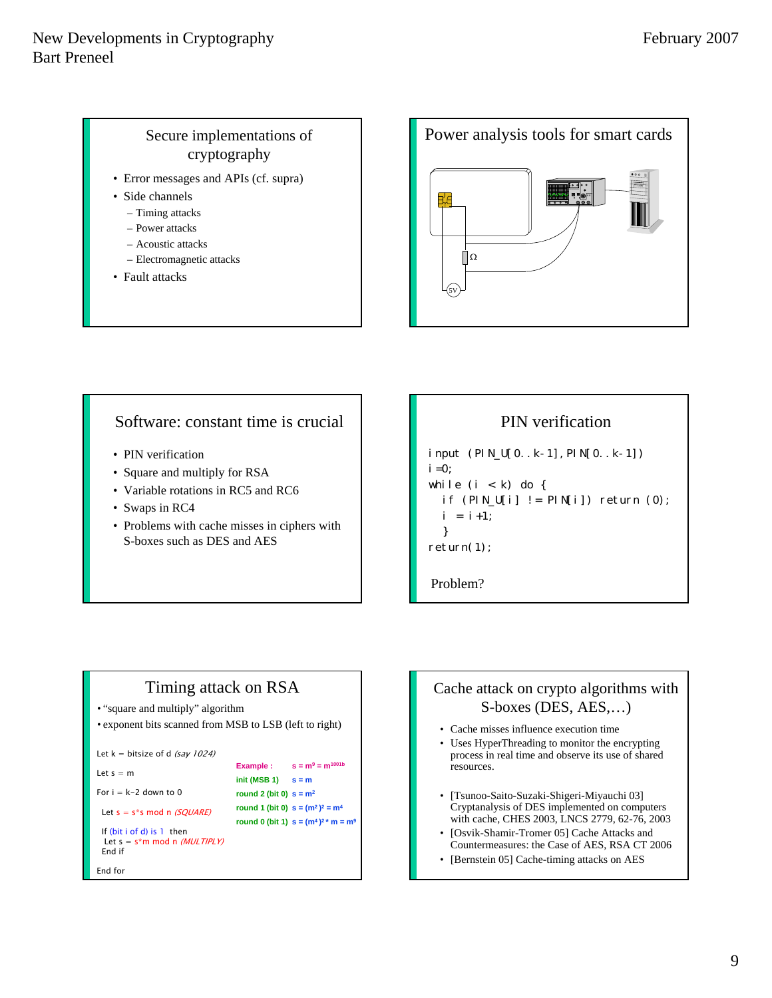### Secure implementations of cryptography

- Error messages and APIs (cf. supra)
- Side channels
	- Timing attacks
	- Power attacks
	- Acoustic attacks
	- Electromagnetic attacks
- Fault attacks



#### Software: constant time is crucial

- PIN verification
- Square and multiply for RSA
- Variable rotations in RC5 and RC6
- Swaps in RC4
- Problems with cache misses in ciphers with S-boxes such as DES and AES

## PIN verification

```
input (PIN_U[0..k-1],PIN[0..k-1])
i = 0:
while (i < k) do {
  if (PIN_U[i] != PIN[i]) return (0);i = i + 1;
  }
return(1);
```
Problem?

## Timing attack on RSA

• "square and multiply" algorithm

```
• exponent bits scanned from MSB to LSB (left to right)
```
**Example :**  $s = m^9 = m^{1001b}$ **init (MSB 1) s = m round 2 (bit 0) s = m2 round 1 (bit 0)**  $s = (m^2)^2 = m^4$ **round 0 (bit 1)**  $s = (m^4)^2$  \*  $m = m^9$ 

```
Let k = bitsize of d (say 1024)
```

```
Let s = m
```
For  $i = k-2$  down to 0

Let  $s = s *s$  mod n (SQUARE)

```
 If (bit i of d) is 1 then 
Let s = s*m \mod n (MULTIPLY)
 End if
```
End for

#### Cache attack on crypto algorithms with S-boxes (DES, AES,…)

- Cache misses influence execution time
- Uses HyperThreading to monitor the encrypting process in real time and observe its use of shared resources.
- [Tsunoo-Saito-Suzaki-Shigeri-Miyauchi 03] Cryptanalysis of DES implemented on computers with cache, CHES 2003, LNCS 2779, 62-76, 2003
- [Osvik-Shamir-Tromer 05] Cache Attacks and Countermeasures: the Case of AES, RSA CT 2006
- [Bernstein 05] Cache-timing attacks on AES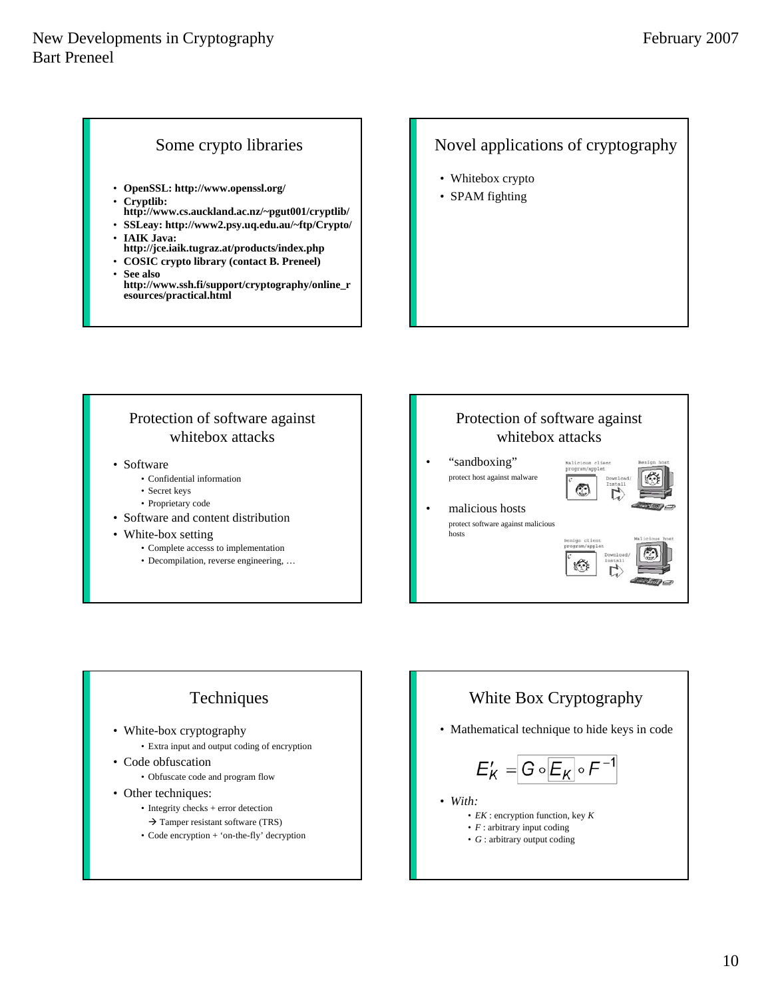#### Some crypto libraries

- **OpenSSL: http://www.openssl.org/**
- **Cryptlib:**
- **http://www.cs.auckland.ac.nz/~pgut001/cryptlib/**
- **SSLeay: http://www2.psy.uq.edu.au/~ftp/Crypto/** • **IAIK Java:**
- **http://jce.iaik.tugraz.at/products/index.php**
- **COSIC crypto library (contact B. Preneel)**
- **See also http://www.ssh.fi/support/cryptography/online\_r esources/practical.html**

#### Novel applications of cryptography

- Whitebox crypto
- SPAM fighting

#### Protection of software against whitebox attacks

- Software
	- Confidential information
	- Secret keys
	- Proprietary code
- Software and content distribution
- White-box setting
	- Complete accesss to implementation
	- Decompilation, reverse engineering, …

# Protection of software against whitebox attacks • "sandboxing" Walicic protect host against malware malicious hosts protect software against malicious hosts

## Techniques

- White-box cryptography • Extra input and output coding of encryption
- Code obfuscation

• Obfuscate code and program flow

- Other techniques:
	- Integrity checks + error detection
		- $\rightarrow$  Tamper resistant software (TRS)
	- Code encryption + 'on-the-fly' decryption

## White Box Cryptography

• Mathematical technique to hide keys in code

$$
\Xi_{\mathsf{K}}' = \boxed{\mathsf{G} \circ \boxed{\mathsf{E}_{\mathsf{K}}} \circ \mathsf{F}^{-1}}
$$

- *With:*
	- *EK* : encryption function, key *K*
	- *F* : arbitrary input coding
	- *G* : arbitrary output coding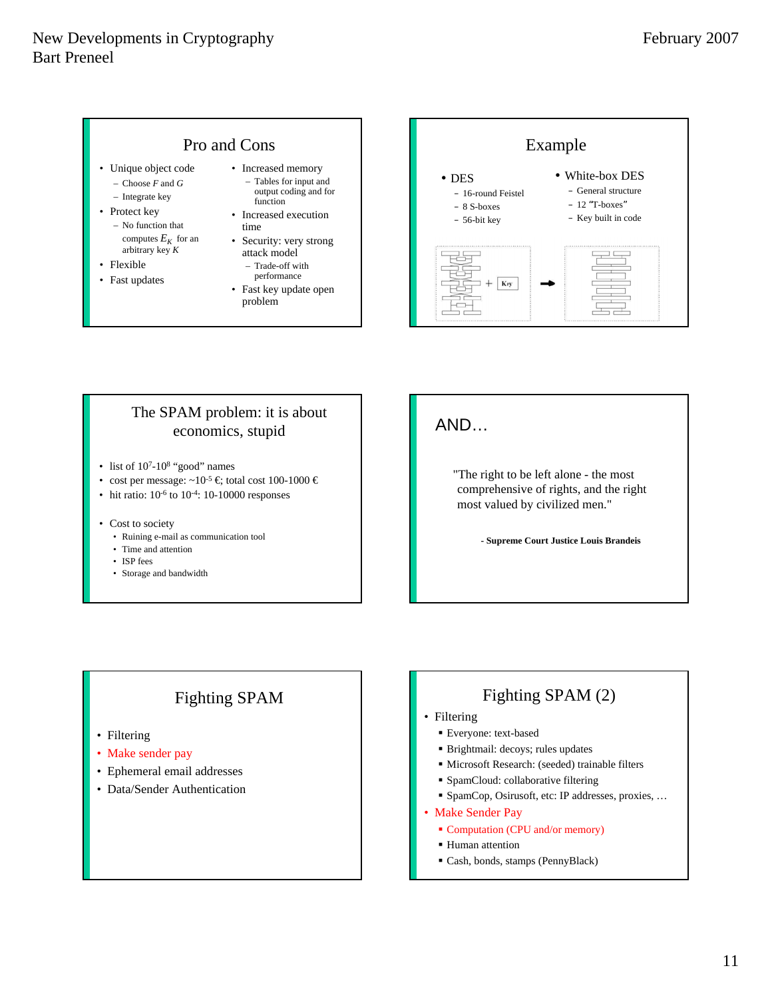## Pro and Cons

- Unique object code – Choose *F* and *G*
	- Integrate key
- Protect key – No function that computes  $E_K$  for an arbitrary key *K*
- Flexible
- Fast updates
- Increased memory
	- Tables for input and output coding and for function
	- Increased execution time
	- Security: very strong attack model
		- Trade-off with performance
	- Fast key update open problem



#### The SPAM problem: it is about economics, stupid

- list of  $10^{7}$ - $10^{8}$  "good" names
- cost per message:  $\sim 10^{-5} \in$  total cost 100-1000  $\in$
- hit ratio:  $10^{-6}$  to  $10^{-4}$ : 10-10000 responses
- Cost to society
	- Ruining e-mail as communication tool
	- Time and attention
	- ISP fees
	- Storage and bandwidth

## AND…

"The right to be left alone - the most comprehensive of rights, and the right most valued by civilized men."

**- Supreme Court Justice Louis Brandeis**

## Fighting SPAM

- Filtering
- Make sender pay
- Ephemeral email addresses
- Data/Sender Authentication

## Fighting SPAM (2)

- Filtering
	- Everyone: text-based
	- Brightmail: decoys; rules updates
	- Microsoft Research: (seeded) trainable filters
	- SpamCloud: collaborative filtering
	- SpamCop, Osirusoft, etc: IP addresses, proxies, …
- Make Sender Pay
	- Computation (CPU and/or memory)
	- **Human** attention
	- Cash, bonds, stamps (PennyBlack)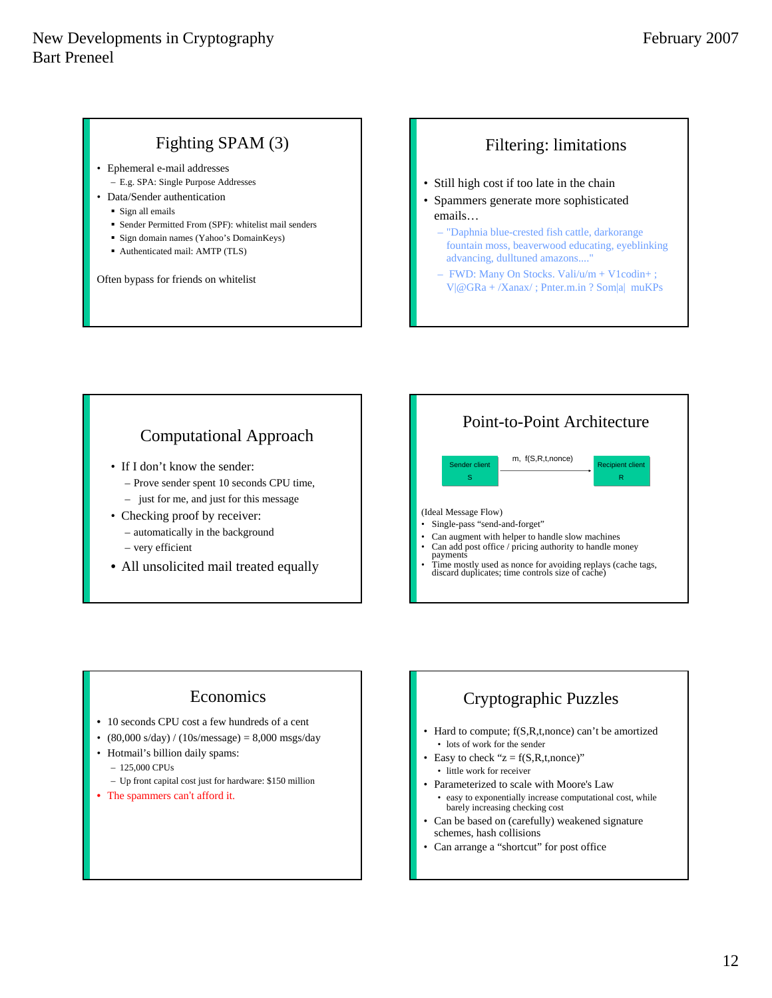## Fighting SPAM (3)

- Ephemeral e-mail addresses – E.g. SPA: Single Purpose Addresses
- Data/Sender authentication
	- Sign all emails
	- Sender Permitted From (SPF): whitelist mail senders
	- Sign domain names (Yahoo's DomainKeys)
	- Authenticated mail: AMTP (TLS)

Often bypass for friends on whitelist

## Filtering: limitations

- Still high cost if too late in the chain
- Spammers generate more sophisticated emails…
	- "Daphnia blue-crested fish cattle, darkorange fountain moss, beaverwood educating, eyeblinking advancing, dulltuned amazons...."
	- FWD: Many On Stocks. Vali/u/m + V1codin+ ; V|@GRa + /Xanax/ ; Pnter.m.in ? Som|a| muKPs

## Computational Approach

- If I don't know the sender:
	- Prove sender spent 10 seconds CPU time, – just for me, and just for this message
- Checking proof by receiver:
- automatically in the background – very efficient
- All unsolicited mail treated equally



## Economics

- 10 seconds CPU cost a few hundreds of a cent
- $(80,000 \text{ s/day}) / (10 \text{s/message}) = 8,000 \text{ msgs/day}$
- Hotmail's billion daily spams:
	- 125,000 CPUs
	- Up front capital cost just for hardware: \$150 million
- The spammers can't afford it.

## Cryptographic Puzzles

- Hard to compute;  $f(S,R,t,none)$  can't be amortized • lots of work for the sender
- Easy to check " $z = f(S,R,t,none)$ " • little work for receiver
- Parameterized to scale with Moore's Law • easy to exponentially increase computational cost, while barely increasing checking cost
- Can be based on (carefully) weakened signature schemes, hash collisions
- Can arrange a "shortcut" for post office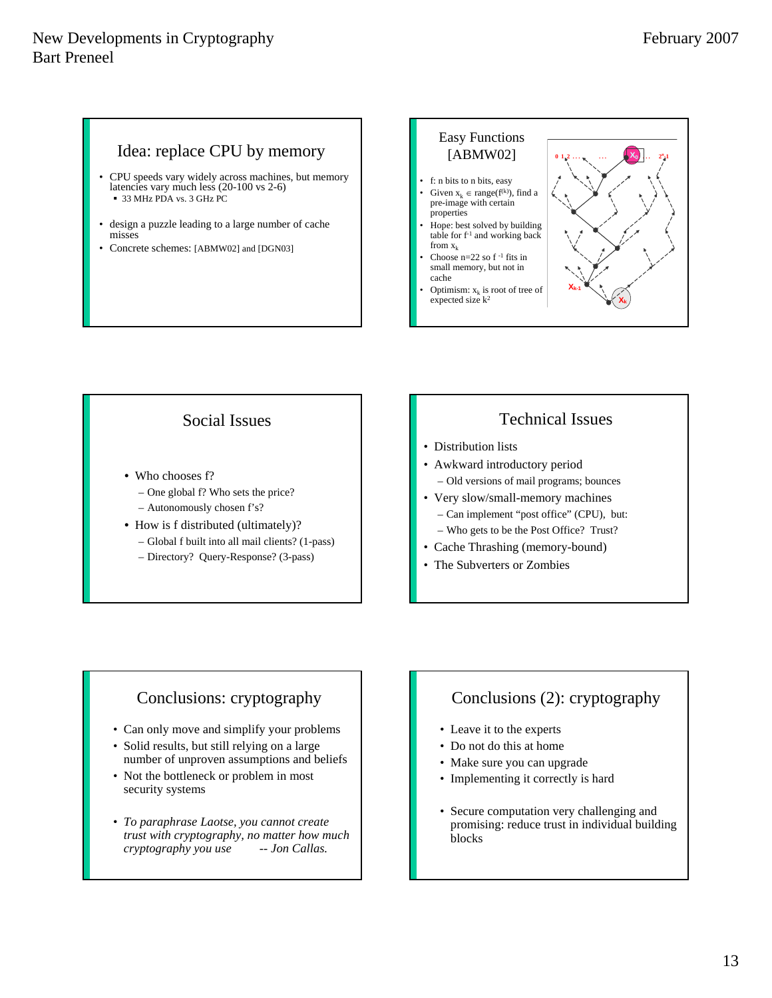#### Idea: replace CPU by memory

- CPU speeds vary widely across machines, but memory latencies vary much less (20-100 vs 2-6) 33 MHz PDA vs. 3 GHz PC
- design a puzzle leading to a large number of cache misses
- Concrete schemes: [ABMW02] and [DGN03]



#### Social Issues

- Who chooses f?
	- One global f? Who sets the price?
	- Autonomously chosen f's?
- How is f distributed (ultimately)?
	- Global f built into all mail clients? (1-pass)
	- Directory? Query-Response? (3-pass)

## Technical Issues

- Distribution lists
- Awkward introductory period – Old versions of mail programs; bounces
- Very slow/small-memory machines – Can implement "post office" (CPU), but:
	- Who gets to be the Post Office? Trust?
- Cache Thrashing (memory-bound)
- The Subverters or Zombies

## Conclusions: cryptography

- Can only move and simplify your problems
- Solid results, but still relying on a large number of unproven assumptions and beliefs
- Not the bottleneck or problem in most security systems
- *To paraphrase Laotse, you cannot create trust with cryptography, no matter how much cryptography you use -- Jon Callas.*

## Conclusions (2): cryptography

- Leave it to the experts
- Do not do this at home
- Make sure you can upgrade
- Implementing it correctly is hard
- Secure computation very challenging and promising: reduce trust in individual building blocks